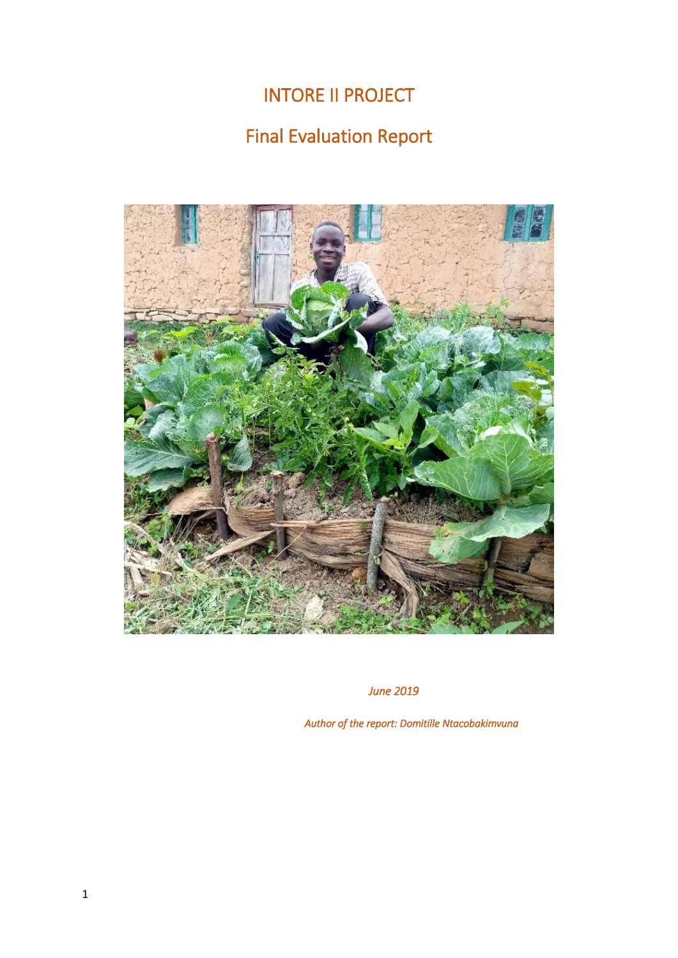# INTORE II PROJECT

# Final Evaluation Report



*June 2019* 

*Author of the report: Domitille Ntacobakimvuna*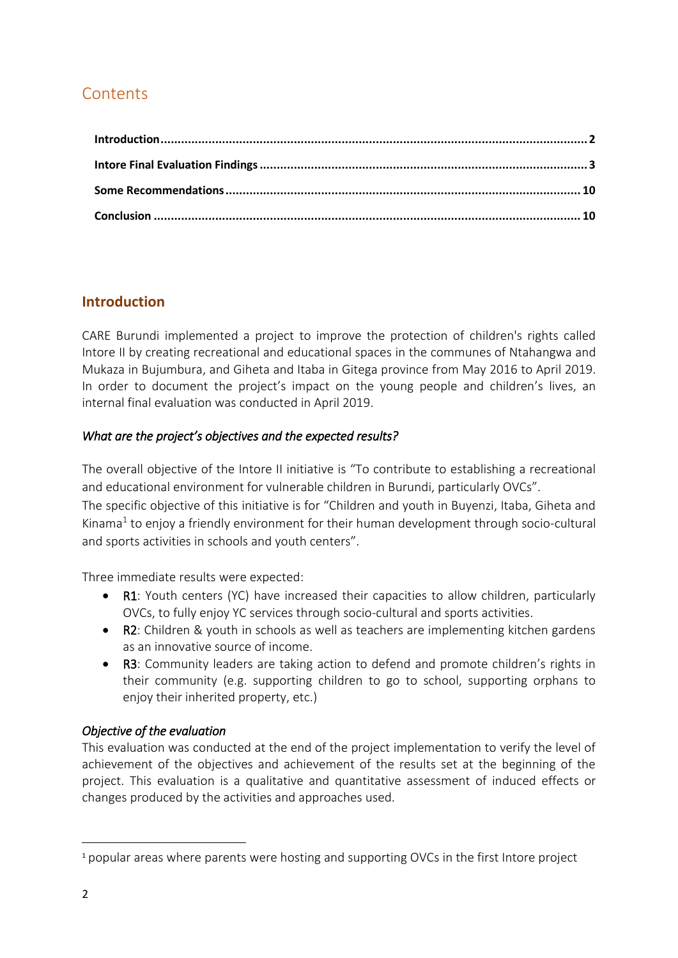# **Contents**

# <span id="page-1-0"></span>**Introduction**

CARE Burundi implemented a project to improve the protection of children's rights called Intore II by creating recreational and educational spaces in the communes of Ntahangwa and Mukaza in Bujumbura, and Giheta and Itaba in Gitega province from May 2016 to April 2019. In order to document the project's impact on the young people and children's lives, an internal final evaluation was conducted in April 2019.

### *What are the project's objectives and the expected results?*

The overall objective of the Intore II initiative is "To contribute to establishing a recreational and educational environment for vulnerable children in Burundi, particularly OVCs".

The specific objective of this initiative is for "Children and youth in Buyenzi, Itaba, Giheta and Kinama<sup>1</sup> to enjoy a friendly environment for their human development through socio-cultural and sports activities in schools and youth centers".

Three immediate results were expected:

- R1: Youth centers (YC) have increased their capacities to allow children, particularly OVCs, to fully enjoy YC services through socio-cultural and sports activities.
- R2: Children & youth in schools as well as teachers are implementing kitchen gardens as an innovative source of income.
- R3: Community leaders are taking action to defend and promote children's rights in their community (e.g. supporting children to go to school, supporting orphans to enjoy their inherited property, etc.)

### *Objective of the evaluation*

This evaluation was conducted at the end of the project implementation to verify the level of achievement of the objectives and achievement of the results set at the beginning of the project. This evaluation is a qualitative and quantitative assessment of induced effects or changes produced by the activities and approaches used.

**.** 

<sup>1</sup> popular areas where parents were hosting and supporting OVCs in the first Intore project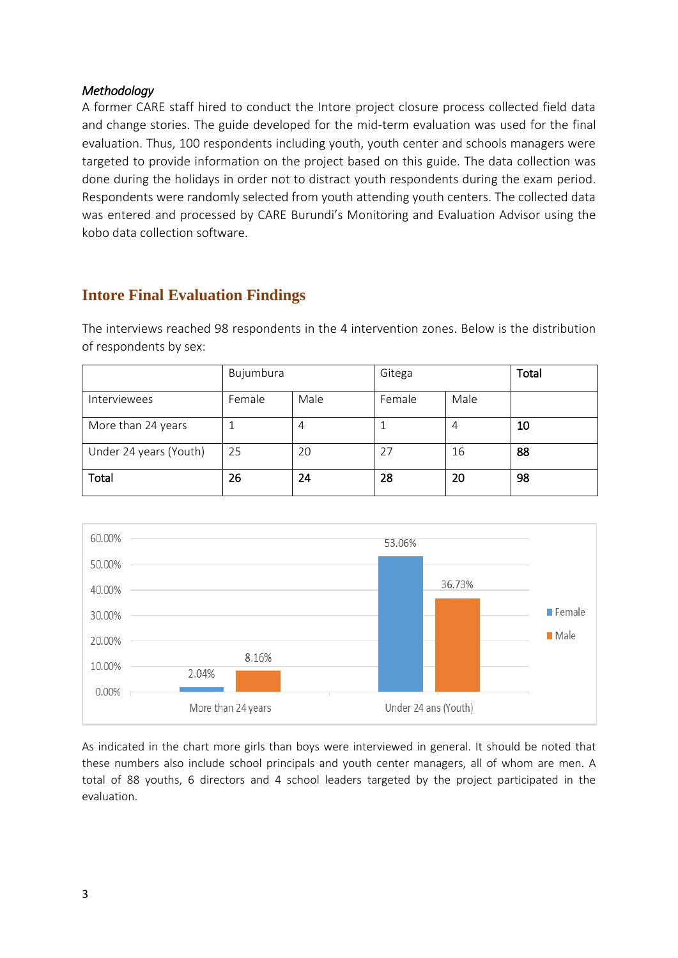### *Methodology*

A former CARE staff hired to conduct the Intore project closure process collected field data and change stories. The guide developed for the mid-term evaluation was used for the final evaluation. Thus, 100 respondents including youth, youth center and schools managers were targeted to provide information on the project based on this guide. The data collection was done during the holidays in order not to distract youth respondents during the exam period. Respondents were randomly selected from youth attending youth centers. The collected data was entered and processed by CARE Burundi's Monitoring and Evaluation Advisor using the kobo data collection software.

# <span id="page-2-0"></span>**Intore Final Evaluation Findings**

The interviews reached 98 respondents in the 4 intervention zones. Below is the distribution of respondents by sex:

|                        | Bujumbura |      | Gitega |      | Total |
|------------------------|-----------|------|--------|------|-------|
| <b>Interviewees</b>    | Female    | Male | Female | Male |       |
| More than 24 years     |           | 4    |        |      | 10    |
| Under 24 years (Youth) | 25        | 20   | 27     | 16   | 88    |
| <b>Total</b>           | 26        | 24   | 28     | 20   | 98    |



As indicated in the chart more girls than boys were interviewed in general. It should be noted that these numbers also include school principals and youth center managers, all of whom are men. A total of 88 youths, 6 directors and 4 school leaders targeted by the project participated in the evaluation.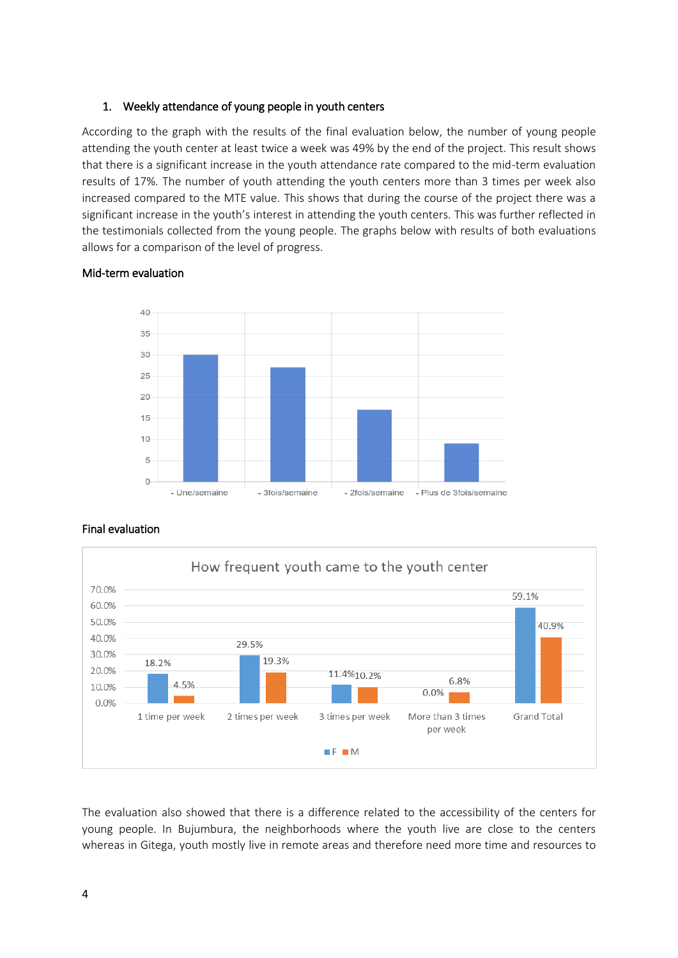#### 1. Weekly attendance of young people in youth centers

According to the graph with the results of the final evaluation below, the number of young people attending the youth center at least twice a week was 49% by the end of the project. This result shows that there is a significant increase in the youth attendance rate compared to the mid-term evaluation results of 17%. The number of youth attending the youth centers more than 3 times per week also increased compared to the MTE value. This shows that during the course of the project there was a significant increase in the youth's interest in attending the youth centers. This was further reflected in the testimonials collected from the young people. The graphs below with results of both evaluations allows for a comparison of the level of progress.



#### Mid-term evaluation



#### Final evaluation

The evaluation also showed that there is a difference related to the accessibility of the centers for young people. In Bujumbura, the neighborhoods where the youth live are close to the centers whereas in Gitega, youth mostly live in remote areas and therefore need more time and resources to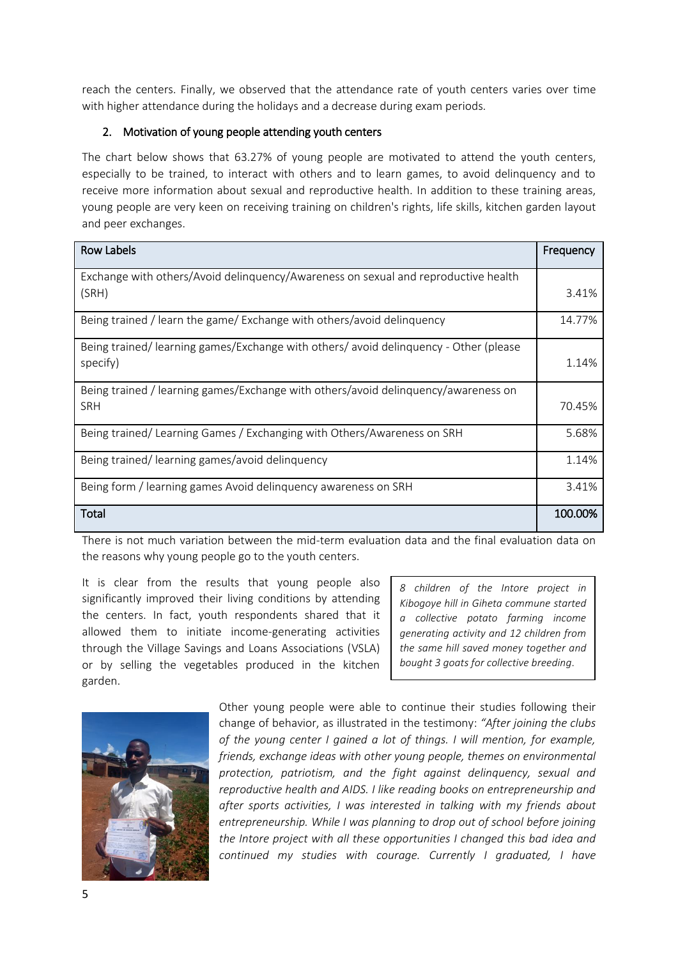reach the centers. Finally, we observed that the attendance rate of youth centers varies over time with higher attendance during the holidays and a decrease during exam periods.

#### 2. Motivation of young people attending youth centers

The chart below shows that 63.27% of young people are motivated to attend the youth centers, especially to be trained, to interact with others and to learn games, to avoid delinquency and to receive more information about sexual and reproductive health. In addition to these training areas, young people are very keen on receiving training on children's rights, life skills, kitchen garden layout and peer exchanges.

| <b>Row Labels</b>                                                                   | Frequency |
|-------------------------------------------------------------------------------------|-----------|
| Exchange with others/Avoid delinguency/Awareness on sexual and reproductive health  |           |
| (SRH)                                                                               | 3.41%     |
| Being trained / learn the game/ Exchange with others/avoid delinguency              | 14.77%    |
| Being trained/learning games/Exchange with others/avoid delinguency - Other (please |           |
| specify)                                                                            | 1.14%     |
| Being trained / learning games/Exchange with others/avoid delinguency/awareness on  |           |
| <b>SRH</b>                                                                          | 70.45%    |
| Being trained/Learning Games / Exchanging with Others/Awareness on SRH              | 5.68%     |
| Being trained/learning games/avoid delinquency                                      | 1.14%     |
| Being form / learning games Avoid delinquency awareness on SRH                      | 3.41%     |
| Total                                                                               | 100.00%   |

There is not much variation between the mid-term evaluation data and the final evaluation data on the reasons why young people go to the youth centers.

It is clear from the results that young people also significantly improved their living conditions by attending the centers. In fact, youth respondents shared that it allowed them to initiate income-generating activities through the Village Savings and Loans Associations (VSLA) or by selling the vegetables produced in the kitchen garden.

*8 children of the Intore project in Kibogoye hill in Giheta commune started a collective potato farming income generating activity and 12 children from the same hill saved money together and bought 3 goats for collective breeding*.



Other young people were able to continue their studies following their change of behavior, as illustrated in the testimony: *"After joining the clubs of the young center I gained a lot of things. I will mention, for example, friends, exchange ideas with other young people, themes on environmental protection, patriotism, and the fight against delinquency, sexual and reproductive health and AIDS. I like reading books on entrepreneurship and after sports activities, I was interested in talking with my friends about entrepreneurship. While I was planning to drop out of school before joining the Intore project with all these opportunities I changed this bad idea and continued my studies with courage. Currently I graduated, I have*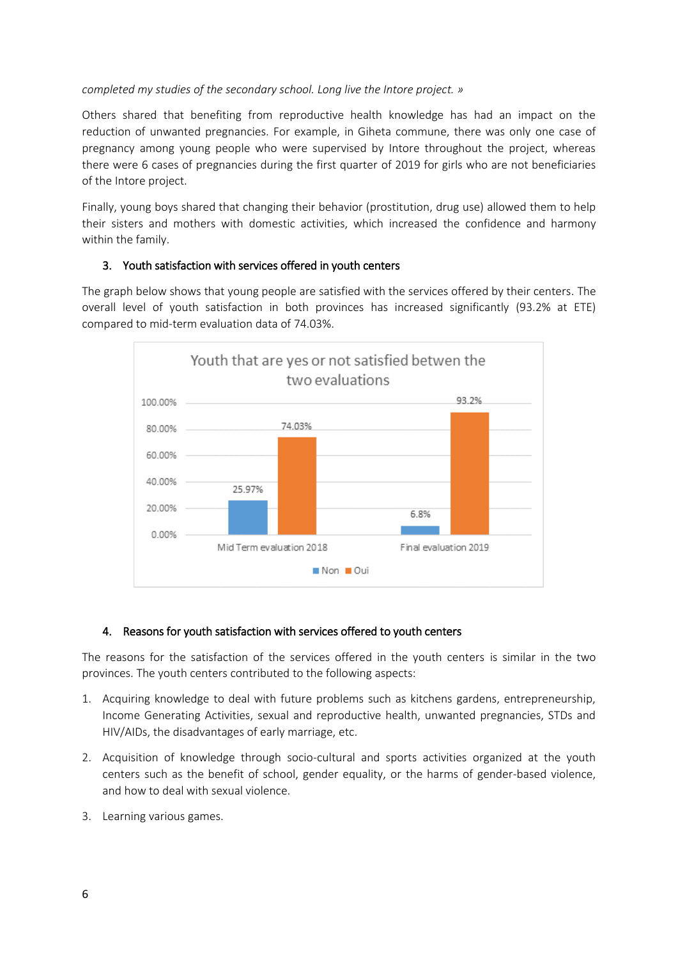#### *completed my studies of the secondary school. Long live the Intore project. »*

Others shared that benefiting from reproductive health knowledge has had an impact on the reduction of unwanted pregnancies. For example, in Giheta commune, there was only one case of pregnancy among young people who were supervised by Intore throughout the project, whereas there were 6 cases of pregnancies during the first quarter of 2019 for girls who are not beneficiaries of the Intore project.

Finally, young boys shared that changing their behavior (prostitution, drug use) allowed them to help their sisters and mothers with domestic activities, which increased the confidence and harmony within the family.

#### 3. Youth satisfaction with services offered in youth centers

The graph below shows that young people are satisfied with the services offered by their centers. The overall level of youth satisfaction in both provinces has increased significantly (93.2% at ETE) compared to mid-term evaluation data of 74.03%.



#### 4. Reasons for youth satisfaction with services offered to youth centers

The reasons for the satisfaction of the services offered in the youth centers is similar in the two provinces. The youth centers contributed to the following aspects:

- 1. Acquiring knowledge to deal with future problems such as kitchens gardens, entrepreneurship, Income Generating Activities, sexual and reproductive health, unwanted pregnancies, STDs and HIV/AIDs, the disadvantages of early marriage, etc.
- 2. Acquisition of knowledge through socio-cultural and sports activities organized at the youth centers such as the benefit of school, gender equality, or the harms of gender-based violence, and how to deal with sexual violence.
- 3. Learning various games.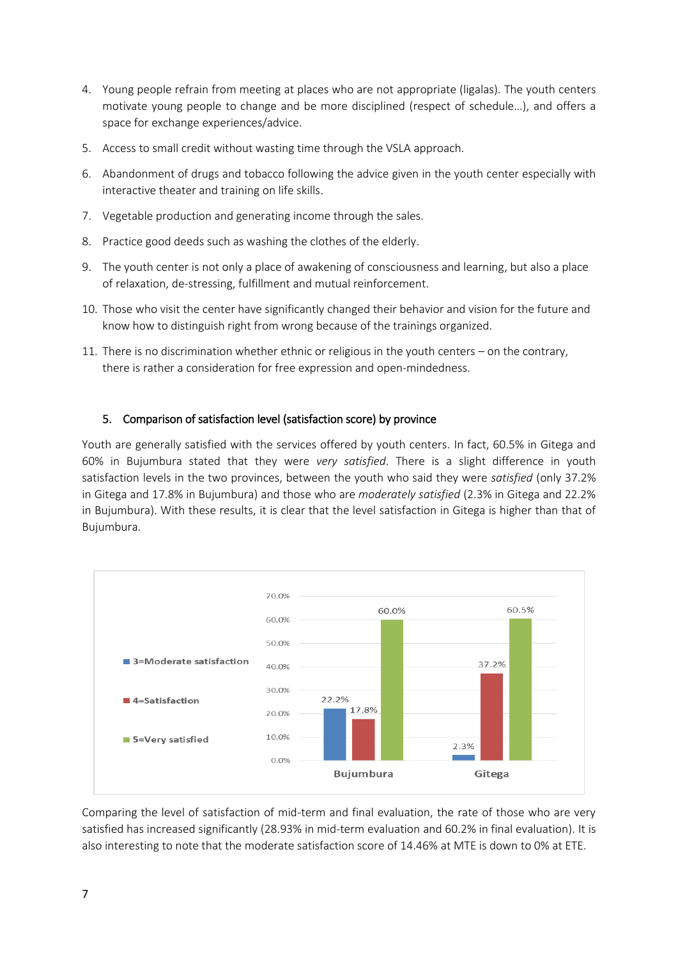- 4. Young people refrain from meeting at places who are not appropriate (ligalas). The youth centers motivate young people to change and be more disciplined (respect of schedule…), and offers a space for exchange experiences/advice.
- 5. Access to small credit without wasting time through the VSLA approach.
- 6. Abandonment of drugs and tobacco following the advice given in the youth center especially with interactive theater and training on life skills.
- 7. Vegetable production and generating income through the sales.
- 8. Practice good deeds such as washing the clothes of the elderly.
- 9. The youth center is not only a place of awakening of consciousness and learning, but also a place of relaxation, de-stressing, fulfillment and mutual reinforcement.
- 10. Those who visit the center have significantly changed their behavior and vision for the future and know how to distinguish right from wrong because of the trainings organized.
- 11. There is no discrimination whether ethnic or religious in the youth centers on the contrary, there is rather a consideration for free expression and open-mindedness.

#### 5. Comparison of satisfaction level (satisfaction score) by province

Youth are generally satisfied with the services offered by youth centers. In fact, 60.5% in Gitega and 60% in Bujumbura stated that they were *very satisfied*. There is a slight difference in youth satisfaction levels in the two provinces, between the youth who said they were *satisfied* (only 37.2% in Gitega and 17.8% in Bujumbura) and those who are *moderately satisfied* (2.3% in Gitega and 22.2% in Bujumbura). With these results, it is clear that the level satisfaction in Gitega is higher than that of Bujumbura.



Comparing the level of satisfaction of mid-term and final evaluation, the rate of those who are very satisfied has increased significantly (28.93% in mid-term evaluation and 60.2% in final evaluation). It is also interesting to note that the moderate satisfaction score of 14.46% at MTE is down to 0% at ETE.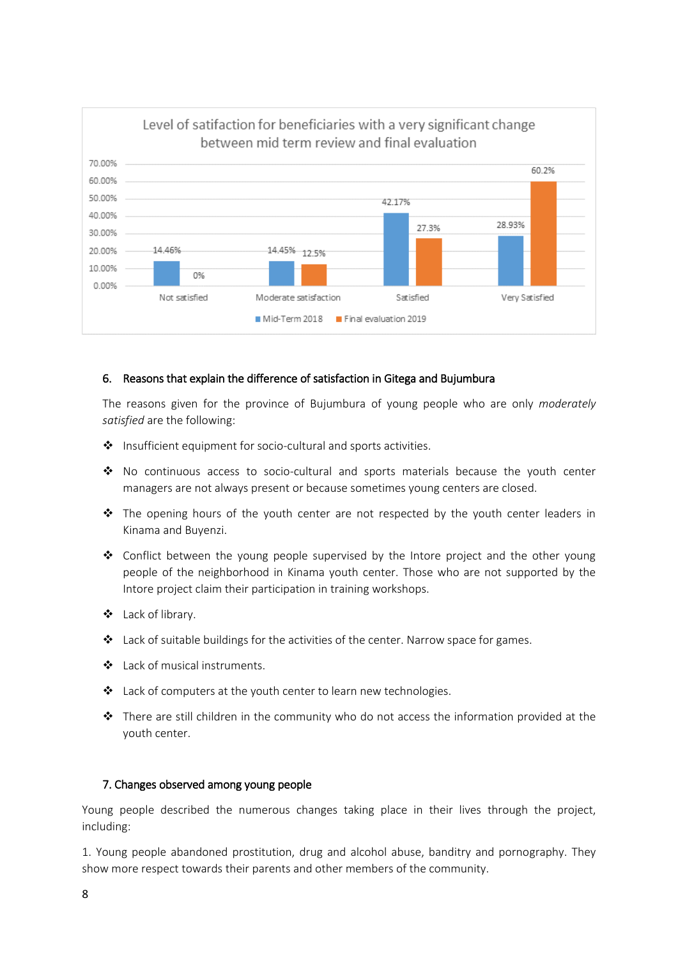

#### 6. Reasons that explain the difference of satisfaction in Gitega and Bujumbura

The reasons given for the province of Bujumbura of young people who are only *moderately satisfied* are the following:

- Insufficient equipment for socio-cultural and sports activities.
- $\clubsuit$  No continuous access to socio-cultural and sports materials because the youth center managers are not always present or because sometimes young centers are closed.
- $\div$  The opening hours of the youth center are not respected by the youth center leaders in Kinama and Buyenzi.
- Conflict between the young people supervised by the Intore project and the other young people of the neighborhood in Kinama youth center. Those who are not supported by the Intore project claim their participation in training workshops.
- Lack of library.
- Lack of suitable buildings for the activities of the center. Narrow space for games.
- ❖ Lack of musical instruments.
- \* Lack of computers at the youth center to learn new technologies.
- There are still children in the community who do not access the information provided at the youth center.

#### 7. Changes observed among young people

Young people described the numerous changes taking place in their lives through the project, including:

1. Young people abandoned prostitution, drug and alcohol abuse, banditry and pornography. They show more respect towards their parents and other members of the community.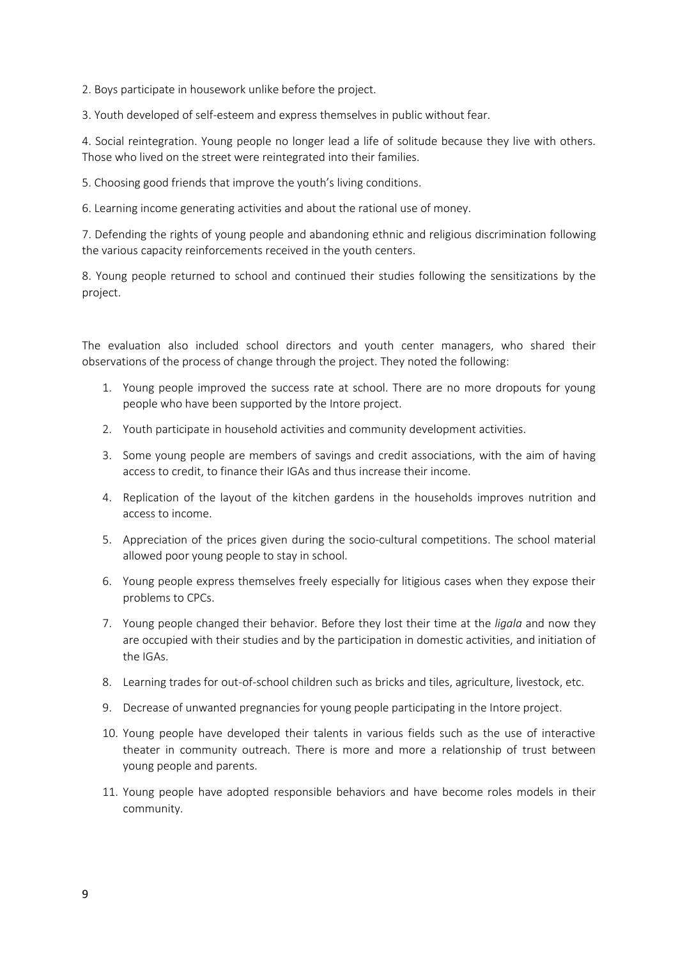2. Boys participate in housework unlike before the project.

3. Youth developed of self-esteem and express themselves in public without fear.

4. Social reintegration. Young people no longer lead a life of solitude because they live with others. Those who lived on the street were reintegrated into their families.

5. Choosing good friends that improve the youth's living conditions.

6. Learning income generating activities and about the rational use of money.

7. Defending the rights of young people and abandoning ethnic and religious discrimination following the various capacity reinforcements received in the youth centers.

8. Young people returned to school and continued their studies following the sensitizations by the project.

The evaluation also included school directors and youth center managers, who shared their observations of the process of change through the project. They noted the following:

- 1. Young people improved the success rate at school. There are no more dropouts for young people who have been supported by the Intore project.
- 2. Youth participate in household activities and community development activities.
- 3. Some young people are members of savings and credit associations, with the aim of having access to credit, to finance their IGAs and thus increase their income.
- 4. Replication of the layout of the kitchen gardens in the households improves nutrition and access to income.
- 5. Appreciation of the prices given during the socio-cultural competitions. The school material allowed poor young people to stay in school.
- 6. Young people express themselves freely especially for litigious cases when they expose their problems to CPCs.
- 7. Young people changed their behavior. Before they lost their time at the *ligala* and now they are occupied with their studies and by the participation in domestic activities, and initiation of the IGAs.
- 8. Learning trades for out-of-school children such as bricks and tiles, agriculture, livestock, etc.
- 9. Decrease of unwanted pregnancies for young people participating in the Intore project.
- 10. Young people have developed their talents in various fields such as the use of interactive theater in community outreach. There is more and more a relationship of trust between young people and parents.
- 11. Young people have adopted responsible behaviors and have become roles models in their community.